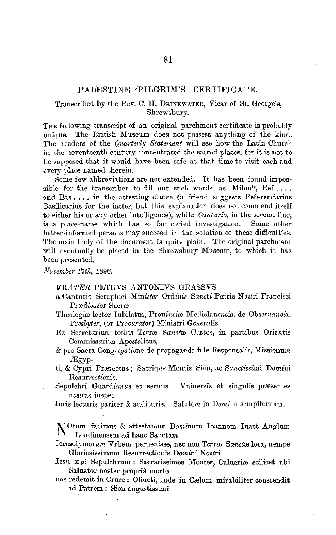## PALESTINE -PILGRIM'S CERTIFICATE.

## Transcribed by the Rev. C. H. DRINKWATER, Vicar of St. George's, Shrewsbury.

THE following transcript of an original parchment certificate is probably unique. The British Museum does not possess anything of the kind. The readers of the *Quarterly Statement* will see how the Latin Church in the seventeenth century concentrated the sacred places, for it is not to be supposed that it would have been safe at that time to visit each and every place named therein.

Some few abbreviations are not extended. It has been found impossible for the transcriber to fill out such words as  $\text{Milon}^{\text{le}}$ , Ref.... and Bas .... in the attesting clause (a friend suggests Referendarius Basilicarius for the latter, but this explanation does not commend itself to either his or any other intelligence), while *Oanturio,* in the second line, is a place-name which has so far defied investigation. Some other better-informed persons may sncceed in the solution of these difficulties. The main body of the document is quite plain. The original parchment will eventually be placed in the Shrewsbury Museum, to which it has been presented.

*November* l *7t!t,* 1896.

## FRATER PETRVS ANTONIVS GRASSVS

- a Canturio Seraphici *Minister Ordinis Sancti* Patris N *ostri* Francisci Prædicator Sacræ
- Theologiæ lector Iubilatus, Prouinciae Mediolanensis. de Obseruancia. *Presbyter,* (or *Procurator)* Ministri *Generalis*
- Ex Secretarius. totius *Terrae Sanctae Custos*, in partibus Orientis Commissarius Apostolicus,
- & pro Sacra *Cong,egatione* de propaganda fide Responsalis, Missionum lEgyp-
- ti, & Cypri Prrefcctus ; Sacrique Montis Sion, ac *Sanctissimi* Domini Resurrectionis.
- Sepulchri Guardianus et seruus. Vniuersis et singulis præsentes noatras iu spec-
- turis lecturis pariter & audituris. Salutem in *Domino* sempiternam.

N' Otum facimus & attestamur Dominum Ioannem Iuatt Anglum Londinensem ad hanc Sanctam

Ierosolymorum Vrbem peruenisse, nec non *Terro*: Sancto loca, nempe Gloriosissimum Resurrectionis Dmnini *Nostri* 

- Iesu  $x'\rho'$  Sepulchrum: Sacratissimos Montes, Caluariæ scilicet ubi Saluator noster propriâ morte
- nos redemit in Cruce: Oliueti, unde in Cælum mirabiliter conscendit ad Patrem : Sion augustissimi